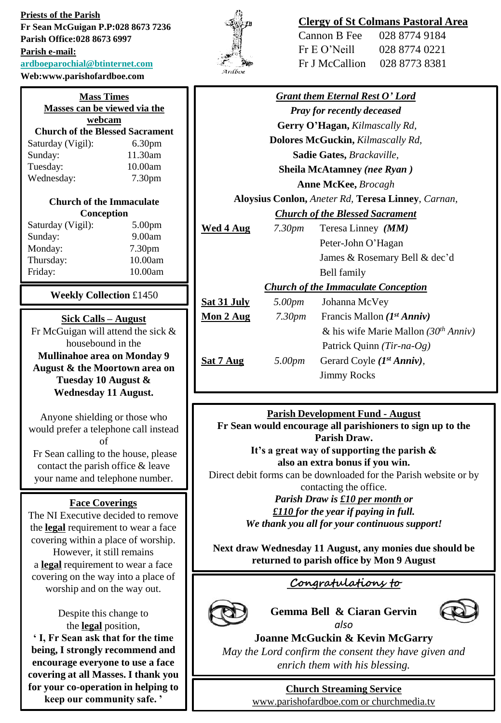**Priests of the Parish Fr Sean McGuigan P.P:028 8673 7236 Parish Office:028 8673 6997 Parish e-mail: [ardboeparochial@btinternet.com](mailto:ardboeparochial@btinternet.com)**

**Web:www.parishofardboe.com**

| <b>Mass Times</b><br>Masses can be viewed via the<br>webcam |                    |  |
|-------------------------------------------------------------|--------------------|--|
| <b>Church of the Blessed Sacrament</b>                      |                    |  |
| Saturday (Vigil):                                           | 6.30 <sub>pm</sub> |  |
| Sunday:                                                     | 11.30am            |  |
| Tuesday:                                                    | 10.00am            |  |
| Wednesday:                                                  | 7.30 <sub>pm</sub> |  |
| <b>Church of the Immaculate</b>                             |                    |  |

# **Conception**

| Saturday (Vigil): | 5.00 <sub>pm</sub> |
|-------------------|--------------------|
| Sunday:           | 9.00am             |
| Monday:           | 7.30 <sub>pm</sub> |
| Thursday:         | 10.00am            |
| Friday:           | 10.00am            |
|                   |                    |

**Weekly Collection** £1450

## **Sick Calls – August**

Fr McGuigan will attend the sick & housebound in the **Mullinahoe area on Monday 9 August & the Moortown area on** 

**Tuesday 10 August & Wednesday 11 August.**

Anyone shielding or those who would prefer a telephone call instead of Fr Sean calling to the house, please contact the parish office & leave your name and telephone number.

## **Face Coverings**

The NI Executive decided to remove the **legal** requirement to wear a face covering within a place of worship. However, it still remains a **legal** requirement to wear a face covering on the way into a place of worship and on the way out.

> Despite this change to the **legal** position,

**' I, Fr Sean ask that for the time being, I strongly recommend and encourage everyone to use a face covering at all Masses. I thank you for your co-operation in helping to keep our community safe. '**



## **Clergy of St Colmans Pastoral Area**

| Cannon B Fee   | 028 8774 9184 |
|----------------|---------------|
| Fr E O' Neill  | 028 8774 0221 |
| Fr J McCallion | 028 8773 8381 |

| <b>Grant them Eternal Rest O' Lord</b>             |                    |                                                  |
|----------------------------------------------------|--------------------|--------------------------------------------------|
| <b>Pray for recently deceased</b>                  |                    |                                                  |
| Gerry O'Hagan, Kilmascally Rd,                     |                    |                                                  |
| <b>Dolores McGuckin, Kilmascally Rd,</b>           |                    |                                                  |
| Sadie Gates, Brackaville,                          |                    |                                                  |
| <b>Sheila McAtamney (nee Ryan)</b>                 |                    |                                                  |
| <b>Anne McKee</b> , <i>Brocagh</i>                 |                    |                                                  |
| Aloysius Conlon, Aneter Rd, Teresa Linney, Carnan, |                    |                                                  |
| <b>Church of the Blessed Sacrament</b>             |                    |                                                  |
| <u>Wed 4 Aug</u>                                   | 7.30 <sub>pm</sub> | Teresa Linney ( <i>MM</i> )                      |
|                                                    |                    | Peter-John O'Hagan                               |
|                                                    |                    | James & Rosemary Bell & dec'd                    |
|                                                    |                    | Bell family                                      |
| <b>Church of the Immaculate Conception</b>         |                    |                                                  |
| <u>Sat 31 July</u>                                 | 5.00pm             | Johanna McVey                                    |
| <u>Mon 2 Aug</u>                                   | 7.30pm             | Francis Mallon $(I^{st} Anniv)$                  |
|                                                    |                    | & his wife Marie Mallon (30 <sup>th</sup> Anniv) |
|                                                    |                    | Patrick Quinn (Tir-na-Og)                        |
| <u>Sat 7 Aug</u>                                   | 5.00pm             | Gerard Coyle (1st Anniv),                        |
|                                                    |                    | <b>Jimmy Rocks</b>                               |
|                                                    |                    |                                                  |

## **Parish Development Fund - August**

**Fr Sean would encourage all parishioners to sign up to the Parish Draw.** 

**It's a great way of supporting the parish & also an extra bonus if you win.**

Direct debit forms can be downloaded for the Parish website or by contacting the office.

> *Parish Draw is £10 per month or £110 for the year if paying in full. We thank you all for your continuous support!*

**Next draw Wednesday 11 August, any monies due should be returned to parish office by Mon 9 August**

## **Congratulations to**



## **Gemma Bell & Ciaran Gervin** *also*



**Joanne McGuckin & Kevin McGarry** *May the Lord confirm the consent they have given and enrich them with his blessing.*

## **Church Streaming Service**

[www.parishofardboe.com](http://www.parishofardboe.com/) or churchmedia.tv